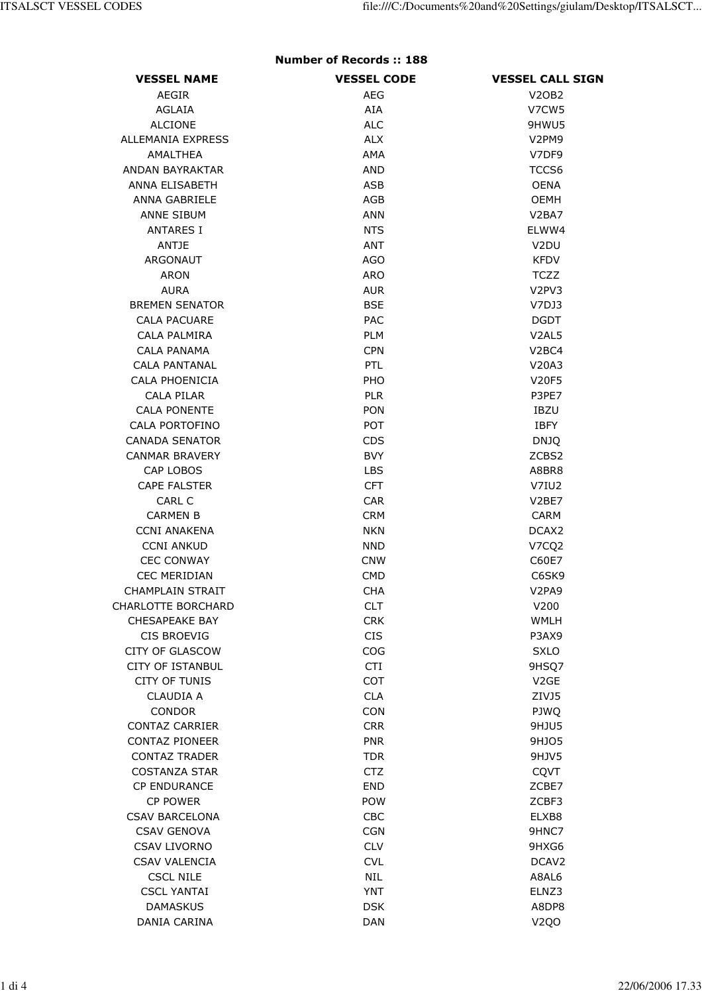## Number of Records :: 188

| <b>VESSEL NAME</b>                              | <b>VESSEL CODE</b> | <b>VESSEL CALL SIGN</b>        |
|-------------------------------------------------|--------------------|--------------------------------|
| AEGIR                                           | AEG                | <b>V20B2</b>                   |
| <b>AGLAIA</b>                                   | AIA                | V7CW5                          |
| <b>ALCIONE</b>                                  | <b>ALC</b>         | 9HWU5                          |
| <b>ALLEMANIA EXPRESS</b>                        | <b>ALX</b>         | V <sub>2</sub> PM <sub>9</sub> |
| AMALTHEA                                        | AMA                | V7DF9                          |
| <b>ANDAN BAYRAKTAR</b>                          | <b>AND</b>         | TCCS6                          |
| ANNA ELISABETH                                  | ASB                | <b>OENA</b>                    |
| ANNA GABRIELE                                   | AGB                | OEMH                           |
| <b>ANNE SIBUM</b>                               | ANN                | V <sub>2</sub> BA <sub>7</sub> |
| <b>ANTARES I</b>                                | <b>NTS</b>         | ELWW4                          |
| ANTJE                                           | ANT                | V <sub>2</sub> DU              |
| ARGONAUT                                        | <b>AGO</b>         | <b>KFDV</b>                    |
| <b>ARON</b>                                     | <b>ARO</b>         | <b>TCZZ</b>                    |
| <b>AURA</b>                                     | <b>AUR</b>         | V2PV3                          |
| <b>BREMEN SENATOR</b>                           | <b>BSE</b>         | V7DJ3                          |
| <b>CALA PACUARE</b>                             | PAC                | <b>DGDT</b>                    |
| CALA PALMIRA                                    | <b>PLM</b>         | V <sub>2</sub> AL <sub>5</sub> |
| CALA PANAMA                                     | <b>CPN</b>         | V <sub>2</sub> BC <sub>4</sub> |
| <b>CALA PANTANAL</b>                            | PTL                | V20A3                          |
| <b>CALA PHOENICIA</b>                           | PHO                | <b>V20F5</b>                   |
| CALA PILAR                                      | <b>PLR</b>         | P3PE7                          |
| <b>CALA PONENTE</b>                             | <b>PON</b>         | <b>IBZU</b>                    |
| CALA PORTOFINO                                  | <b>POT</b>         | <b>IBFY</b>                    |
| <b>CANADA SENATOR</b>                           | <b>CDS</b>         | <b>DNJQ</b>                    |
| <b>CANMAR BRAVERY</b>                           | <b>BVY</b>         | ZCBS2                          |
| <b>CAP LOBOS</b>                                | <b>LBS</b>         | A8BR8                          |
| <b>CAPE FALSTER</b>                             | <b>CFT</b>         | V7IU2                          |
| CARL C                                          | <b>CAR</b>         | V <sub>2</sub> BE7             |
| <b>CARMEN B</b>                                 | <b>CRM</b>         | <b>CARM</b>                    |
| <b>CCNI ANAKENA</b>                             | <b>NKN</b>         | DCAX <sub>2</sub>              |
| <b>CCNI ANKUD</b>                               | <b>NND</b>         | V7CQ2                          |
| <b>CEC CONWAY</b>                               | <b>CNW</b>         | C60E7                          |
| <b>CEC MERIDIAN</b>                             | <b>CMD</b>         | C6SK9                          |
| <b>CHAMPLAIN STRAIT</b>                         | <b>CHA</b>         | V <sub>2PA9</sub>              |
| CHARLOTTE BORCHARD                              | CLT                | V200                           |
| <b>CHESAPEAKE BAY</b>                           | <b>CRK</b>         | <b>WMLH</b>                    |
| <b>CIS BROEVIG</b>                              | <b>CIS</b>         | P3AX9                          |
| <b>CITY OF GLASCOW</b>                          | COG                | <b>SXLO</b>                    |
| <b>CITY OF ISTANBUL</b><br><b>CITY OF TUNIS</b> | <b>CTI</b><br>COT  | 9HSQ7<br>V <sub>2</sub> GE     |
| <b>CLAUDIA A</b>                                | <b>CLA</b>         | ZIVJ5                          |
| <b>CONDOR</b>                                   | <b>CON</b>         | PJWQ                           |
| <b>CONTAZ CARRIER</b>                           | <b>CRR</b>         | 9HJU5                          |
| <b>CONTAZ PIONEER</b>                           | <b>PNR</b>         | 9HJ05                          |
| <b>CONTAZ TRADER</b>                            | <b>TDR</b>         | 9HJV5                          |
| <b>COSTANZA STAR</b>                            | <b>CTZ</b>         | CQVT                           |
| <b>CP ENDURANCE</b>                             | <b>END</b>         | ZCBE7                          |
| <b>CP POWER</b>                                 | <b>POW</b>         | ZCBF3                          |
| <b>CSAV BARCELONA</b>                           | CBC                | ELXB8                          |
| <b>CSAV GENOVA</b>                              | <b>CGN</b>         | 9HNC7                          |
| <b>CSAV LIVORNO</b>                             | <b>CLV</b>         | 9HXG6                          |
| <b>CSAV VALENCIA</b>                            | <b>CVL</b>         | DCAV <sub>2</sub>              |
| <b>CSCL NILE</b>                                | <b>NIL</b>         | A8AL6                          |
| <b>CSCL YANTAI</b>                              | <b>YNT</b>         | ELNZ3                          |
| <b>DAMASKUS</b>                                 | <b>DSK</b>         | A8DP8                          |
| DANIA CARINA                                    | <b>DAN</b>         | V <sub>2Q</sub> O              |
|                                                 |                    |                                |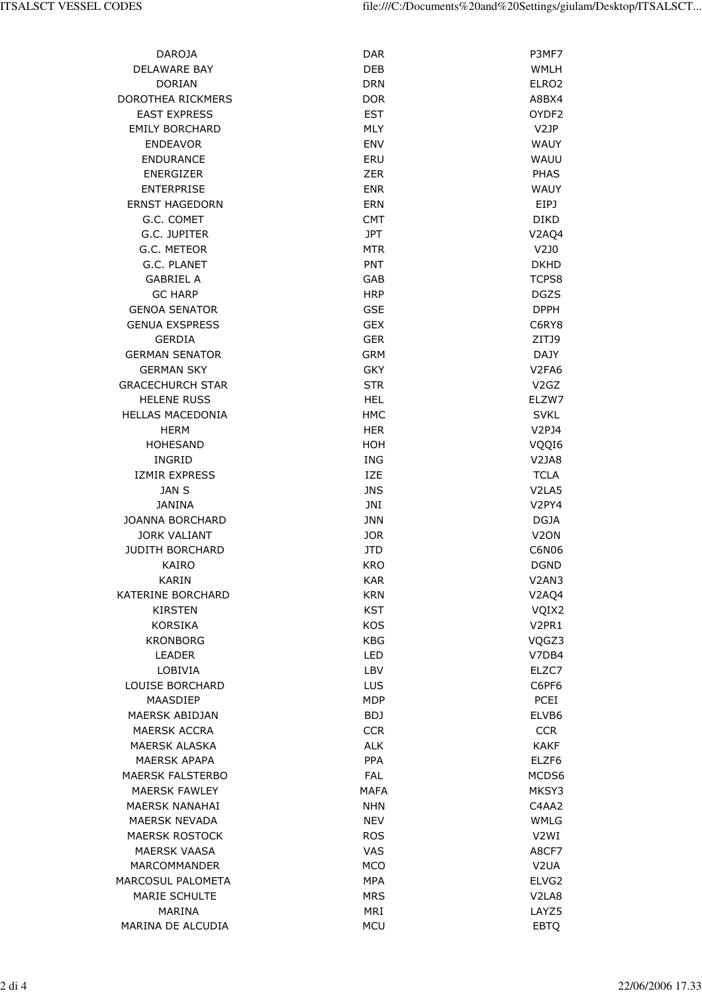| <b>DAROJA</b>            | <b>DAR</b>  | P3MF7                          |
|--------------------------|-------------|--------------------------------|
| <b>DELAWARE BAY</b>      | <b>DEB</b>  | <b>WMLH</b>                    |
| <b>DORIAN</b>            | <b>DRN</b>  | ELRO <sub>2</sub>              |
| DOROTHEA RICKMERS        | <b>DOR</b>  | A8BX4                          |
| <b>EAST EXPRESS</b>      | <b>EST</b>  | OYDF2                          |
| <b>EMILY BORCHARD</b>    | <b>MLY</b>  | V2JP                           |
| <b>ENDEAVOR</b>          | <b>ENV</b>  | <b>WAUY</b>                    |
| <b>ENDURANCE</b>         | ERU         | WAUU                           |
| <b>ENERGIZER</b>         | <b>ZER</b>  | <b>PHAS</b>                    |
| <b>ENTERPRISE</b>        | <b>ENR</b>  | <b>WAUY</b>                    |
| <b>ERNST HAGEDORN</b>    | <b>ERN</b>  | EIPJ                           |
| G.C. COMET               | <b>CMT</b>  | <b>DIKD</b>                    |
| G.C. JUPITER             | <b>JPT</b>  | V2AQ4                          |
| G.C. METEOR              | <b>MTR</b>  | $V2$ JO                        |
| G.C. PLANET              | <b>PNT</b>  |                                |
|                          |             | <b>DKHD</b>                    |
| <b>GABRIEL A</b>         | GAB         | TCPS8                          |
| <b>GC HARP</b>           | <b>HRP</b>  | <b>DGZS</b>                    |
| <b>GENOA SENATOR</b>     | <b>GSE</b>  | <b>DPPH</b>                    |
| <b>GENUA EXSPRESS</b>    | <b>GEX</b>  | C6RY8                          |
| <b>GERDIA</b>            | <b>GER</b>  | ZITJ9                          |
| <b>GERMAN SENATOR</b>    | <b>GRM</b>  | <b>DAJY</b>                    |
| <b>GERMAN SKY</b>        | <b>GKY</b>  | V <sub>2FA6</sub>              |
| <b>GRACECHURCH STAR</b>  | <b>STR</b>  | V <sub>2</sub> G <sub>Z</sub>  |
| <b>HELENE RUSS</b>       | <b>HEL</b>  | ELZW7                          |
| <b>HELLAS MACEDONIA</b>  | <b>HMC</b>  | <b>SVKL</b>                    |
| <b>HERM</b>              | <b>HER</b>  | V2PJ4                          |
| <b>HOHESAND</b>          | HOH         | VQQI6                          |
| INGRID                   | <b>ING</b>  | V <sub>2</sub> JA8             |
| <b>IZMIR EXPRESS</b>     | <b>IZE</b>  | <b>TCLA</b>                    |
| JAN S                    | <b>JNS</b>  | V <sub>2</sub> LA <sub>5</sub> |
| <b>JANINA</b>            | JNI         | V2PY4                          |
| <b>JOANNA BORCHARD</b>   | <b>JNN</b>  | <b>DGJA</b>                    |
| <b>JORK VALIANT</b>      | <b>JOR</b>  | V <sub>2</sub> ON              |
| <b>JUDITH BORCHARD</b>   | JTD         | C6N06                          |
| KAIRO                    | <b>KRO</b>  | <b>DGND</b>                    |
| <b>KARIN</b>             | <b>KAR</b>  | V2AN3                          |
| KATERINE BORCHARD        | <b>KRN</b>  | V2AQ4                          |
| <b>KIRSTEN</b>           | <b>KST</b>  | VQIX2                          |
| <b>KORSIKA</b>           | <b>KOS</b>  | V2PR1                          |
| <b>KRONBORG</b>          | <b>KBG</b>  | VQGZ3                          |
| <b>LEADER</b>            | LED         | V7DB4                          |
| LOBIVIA                  | LBV         | ELZC7                          |
| <b>LOUISE BORCHARD</b>   | <b>LUS</b>  | C6PF6                          |
| MAASDIEP                 | <b>MDP</b>  | <b>PCEI</b>                    |
|                          |             |                                |
| <b>MAERSK ABIDJAN</b>    | BDJ         | ELVB6                          |
| <b>MAERSK ACCRA</b>      | <b>CCR</b>  | <b>CCR</b>                     |
| <b>MAERSK ALASKA</b>     | <b>ALK</b>  | <b>KAKF</b>                    |
| <b>MAERSK APAPA</b>      | <b>PPA</b>  | ELZF6                          |
| <b>MAERSK FALSTERBO</b>  | <b>FAL</b>  | MCDS6                          |
| <b>MAERSK FAWLEY</b>     | <b>MAFA</b> | MKSY3                          |
| <b>MAERSK NANAHAI</b>    | <b>NHN</b>  | C4AA2                          |
| <b>MAERSK NEVADA</b>     | <b>NEV</b>  | <b>WMLG</b>                    |
| <b>MAERSK ROSTOCK</b>    | <b>ROS</b>  | V2WI                           |
| <b>MAERSK VAASA</b>      | <b>VAS</b>  | A8CF7                          |
| <b>MARCOMMANDER</b>      | <b>MCO</b>  | V <sub>2</sub> UA              |
| <b>MARCOSUL PALOMETA</b> | <b>MPA</b>  | ELVG2                          |
| <b>MARIE SCHULTE</b>     | <b>MRS</b>  | V <sub>2</sub> LA <sub>8</sub> |
| MARINA                   | <b>MRI</b>  | LAYZ5                          |
| MARINA DE ALCUDIA        | <b>MCU</b>  | <b>EBTQ</b>                    |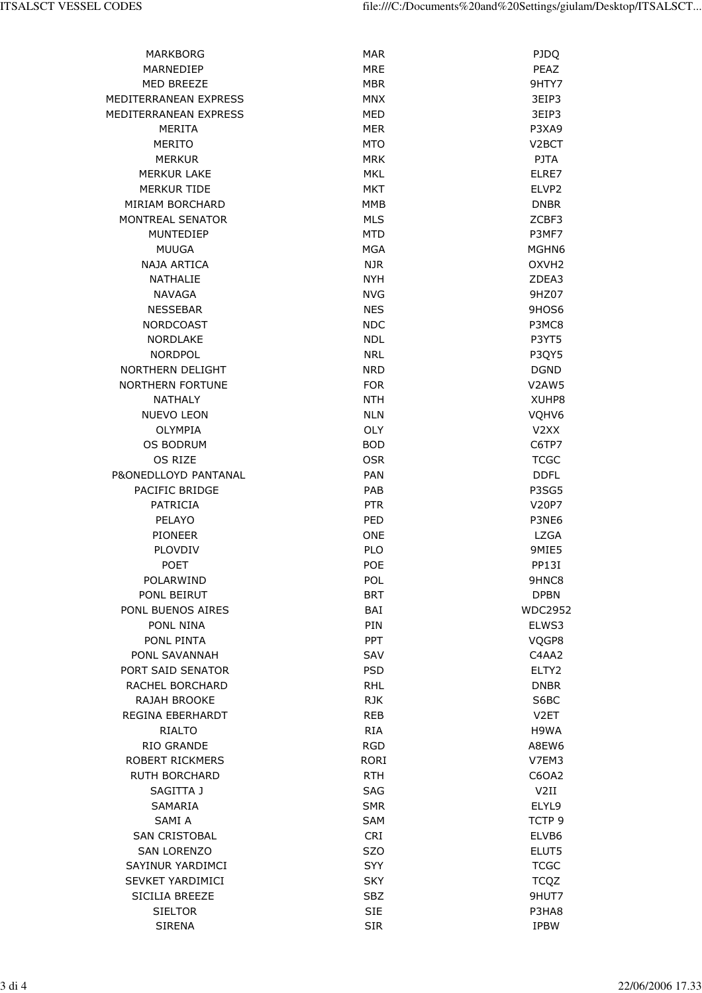| <b>MARKBORG</b>         | <b>MAR</b>  | <b>PJDQ</b>        |
|-------------------------|-------------|--------------------|
| <b>MARNEDIEP</b>        | <b>MRE</b>  | PEAZ               |
| <b>MED BREEZE</b>       | <b>MBR</b>  | 9HTY7              |
| MEDITERRANEAN EXPRESS   | <b>MNX</b>  | 3EIP3              |
| MEDITERRANEAN EXPRESS   | <b>MED</b>  | 3EIP3              |
| <b>MERITA</b>           | <b>MER</b>  | P3XA9              |
| <b>MERITO</b>           | <b>MTO</b>  | V <sub>2</sub> BCT |
| <b>MERKUR</b>           | <b>MRK</b>  | <b>PJTA</b>        |
| <b>MERKUR LAKE</b>      | <b>MKL</b>  | ELRE7              |
| <b>MERKUR TIDE</b>      | <b>MKT</b>  | ELVP <sub>2</sub>  |
| MIRIAM BORCHARD         | <b>MMB</b>  | <b>DNBR</b>        |
| MONTREAL SENATOR        | <b>MLS</b>  | ZCBF3              |
| MUNTEDIEP               | <b>MTD</b>  | P3MF7              |
| <b>MUUGA</b>            | <b>MGA</b>  | MGHN6              |
| <b>NAJA ARTICA</b>      | <b>NJR</b>  | OXVH <sub>2</sub>  |
| NATHALIE                | <b>NYH</b>  | ZDEA3              |
| <b>NAVAGA</b>           | <b>NVG</b>  | 9HZ07              |
| <b>NESSEBAR</b>         | <b>NES</b>  | 9HOS6              |
| <b>NORDCOAST</b>        | <b>NDC</b>  | P3MC8              |
| <b>NORDLAKE</b>         | <b>NDL</b>  | P3YT5              |
| <b>NORDPOL</b>          | <b>NRL</b>  | P3QY5              |
| NORTHERN DELIGHT        | <b>NRD</b>  | <b>DGND</b>        |
| <b>NORTHERN FORTUNE</b> | <b>FOR</b>  | V2AW5              |
| <b>NATHALY</b>          | <b>NTH</b>  | XUHP8              |
| <b>NUEVO LEON</b>       | <b>NLN</b>  | VQHV6              |
| OLYMPIA                 | <b>OLY</b>  | V <sub>2</sub> XX  |
| <b>OS BODRUM</b>        | <b>BOD</b>  | C6TP7              |
| OS RIZE                 | <b>OSR</b>  | <b>TCGC</b>        |
| P&ONEDLLOYD PANTANAL    | PAN         | <b>DDFL</b>        |
| PACIFIC BRIDGE          | PAB         | P3SG5              |
| PATRICIA                | <b>PTR</b>  | V20P7              |
| PELAYO                  | PED         | P3NE6              |
| <b>PIONEER</b>          | <b>ONE</b>  | <b>LZGA</b>        |
| PLOVDIV                 | <b>PLO</b>  | 9MIE5              |
| <b>POET</b>             | POE         | PP13I              |
| POLARWIND               | POL         | 9HNC8              |
| PONL BEIRUT             | <b>BRT</b>  | <b>DPBN</b>        |
| PONL BUENOS AIRES       | BAI         | <b>WDC2952</b>     |
| PONL NINA               | PIN         | ELWS3              |
| PONL PINTA              | PPT         | VQGP8              |
| PONL SAVANNAH           | SAV         | C4AA2              |
| PORT SAID SENATOR       | <b>PSD</b>  | ELTY2              |
| RACHEL BORCHARD         | <b>RHL</b>  | <b>DNBR</b>        |
| <b>RAJAH BROOKE</b>     | <b>RJK</b>  | S6BC               |
| REGINA EBERHARDT        | <b>REB</b>  | V <sub>2</sub> ET  |
| RIALTO                  | <b>RIA</b>  | H9WA               |
| <b>RIO GRANDE</b>       | <b>RGD</b>  | A8EW6              |
| <b>ROBERT RICKMERS</b>  | <b>RORI</b> | V7EM3              |
| <b>RUTH BORCHARD</b>    | <b>RTH</b>  | C6OA2              |
| SAGITTA J               | <b>SAG</b>  | V2II               |
| SAMARIA                 | <b>SMR</b>  | ELYL9              |
| SAMI A                  | <b>SAM</b>  | TCTP <sub>9</sub>  |
| <b>SAN CRISTOBAL</b>    | <b>CRI</b>  | ELVB6              |
| <b>SAN LORENZO</b>      | <b>SZO</b>  | ELUT5              |
| <b>SAYINUR YARDIMCI</b> |             |                    |
|                         | <b>SYY</b>  | <b>TCGC</b>        |
| <b>SEVKET YARDIMICI</b> | <b>SKY</b>  | <b>TCQZ</b>        |
| SICILIA BREEZE          | <b>SBZ</b>  | 9HUT7              |
| <b>SIELTOR</b>          | <b>SIE</b>  | P3HA8              |
| <b>SIRENA</b>           | <b>SIR</b>  | <b>IPBW</b>        |